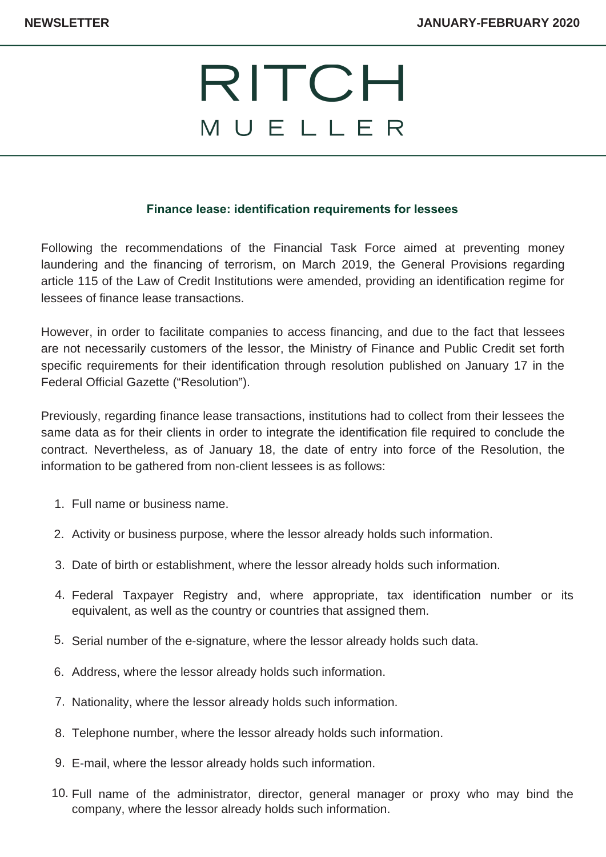## RITCH MUELLER

## **Finance lease: identification requirements for lessees**

Following the recommendations of the Financial Task Force aimed at preventing money laundering and the financing of terrorism, on March 2019, the General Provisions regarding article 115 of the Law of Credit Institutions were amended, providing an identification regime for lessees of finance lease transactions.

However, in order to facilitate companies to access financing, and due to the fact that lessees are not necessarily customers of the lessor, the Ministry of Finance and Public Credit set forth specific requirements for their identification through resolution published on January 17 in the Federal Official Gazette ("Resolution").

Previously, regarding finance lease transactions, institutions had to collect from their lessees the same data as for their clients in order to integrate the identification file required to conclude the contract. Nevertheless, as of January 18, the date of entry into force of the Resolution, the information to be gathered from non-client lessees is as follows:

- Full name or business name. 1.
- Activity or business purpose, where the lessor already holds such information. 2.
- Date of birth or establishment, where the lessor already holds such information. 3.
- Federal Taxpayer Registry and, where appropriate, tax identification number or its 4. equivalent, as well as the country or countries that assigned them.
- 5. Serial number of the e-signature, where the lessor already holds such data.
- 6. Address, where the lessor already holds such information.
- 7. Nationality, where the lessor already holds such information.
- Telephone number, where the lessor already holds such information. 8.
- E-mail, where the lessor already holds such information. 9.
- 10. Full name of the administrator, director, general manager or proxy who may bind the company, where the lessor already holds such information.